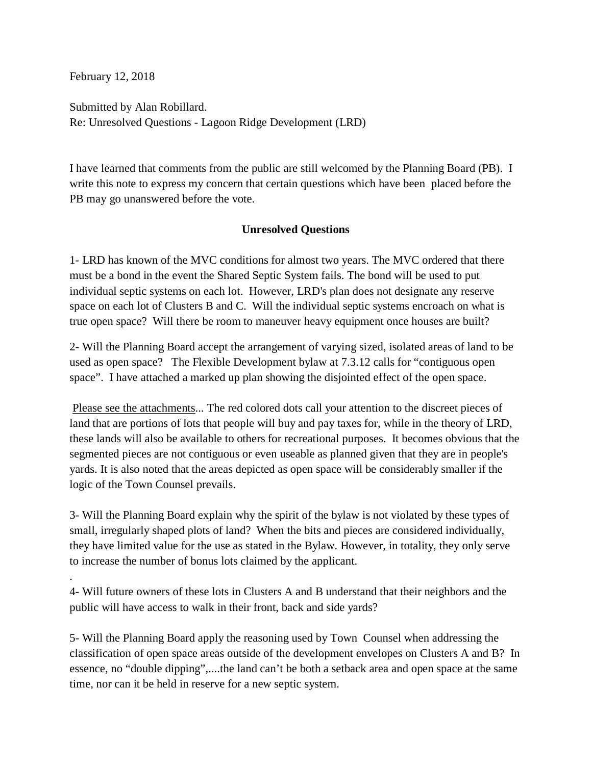February 12, 2018

.

Submitted by Alan Robillard. Re: Unresolved Questions - Lagoon Ridge Development (LRD)

I have learned that comments from the public are still welcomed by the Planning Board (PB). I write this note to express my concern that certain questions which have been placed before the PB may go unanswered before the vote.

## **Unresolved Questions**

1- LRD has known of the MVC conditions for almost two years. The MVC ordered that there must be a bond in the event the Shared Septic System fails. The bond will be used to put individual septic systems on each lot. However, LRD's plan does not designate any reserve space on each lot of Clusters B and C. Will the individual septic systems encroach on what is true open space? Will there be room to maneuver heavy equipment once houses are built?

2- Will the Planning Board accept the arrangement of varying sized, isolated areas of land to be used as open space? The Flexible Development bylaw at 7.3.12 calls for "contiguous open space". I have attached a marked up plan showing the disjointed effect of the open space.

Please see the attachments... The red colored dots call your attention to the discreet pieces of land that are portions of lots that people will buy and pay taxes for, while in the theory of LRD, these lands will also be available to others for recreational purposes. It becomes obvious that the segmented pieces are not contiguous or even useable as planned given that they are in people's yards. It is also noted that the areas depicted as open space will be considerably smaller if the logic of the Town Counsel prevails.

3- Will the Planning Board explain why the spirit of the bylaw is not violated by these types of small, irregularly shaped plots of land? When the bits and pieces are considered individually, they have limited value for the use as stated in the Bylaw. However, in totality, they only serve to increase the number of bonus lots claimed by the applicant.

4- Will future owners of these lots in Clusters A and B understand that their neighbors and the public will have access to walk in their front, back and side yards?

5- Will the Planning Board apply the reasoning used by Town Counsel when addressing the classification of open space areas outside of the development envelopes on Clusters A and B? In essence, no "double dipping",....the land can't be both a setback area and open space at the same time, nor can it be held in reserve for a new septic system.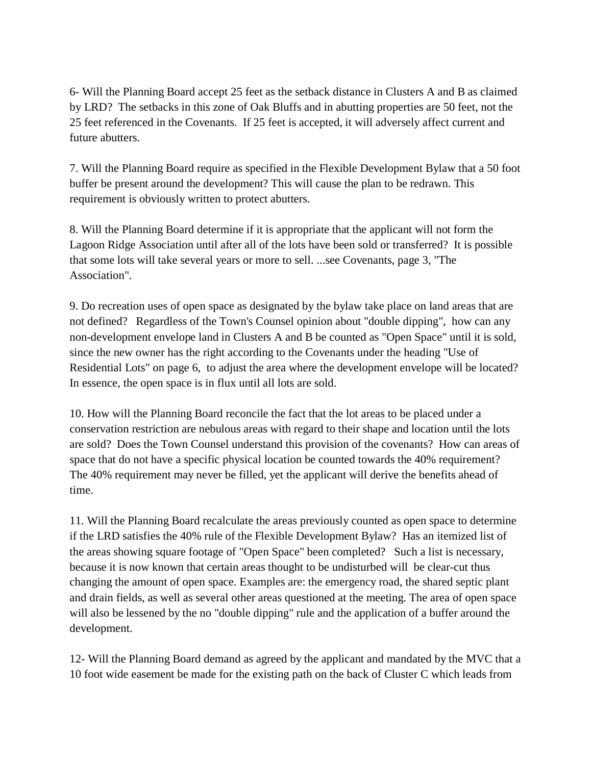6- Will the Planning Board accept 25 feet as the setback distance in Clusters A and B as claimed by LRD? The setbacks in this zone of Oak Bluffs and in abutting properties are 50 feet, not the 25 feet referenced in the Covenants. If 25 feet is accepted, it will adversely affect current and future abutters.

7. Will the Planning Board require as specified in the Flexible Development Bylaw that a 50 foot buffer be present around the development? This will cause the plan to be redrawn. This requirement is obviously written to protect abutters.

8. Will the Planning Board determine if it is appropriate that the applicant will not form the Lagoon Ridge Association until after all of the lots have been sold or transferred? It is possible that some lots will take several years or more to sell. ...see Covenants, page 3, "The Association".

9. Do recreation uses of open space as designated by the bylaw take place on land areas that are not defined? Regardless of the Town's Counsel opinion about "double dipping", how can any non-development envelope land in Clusters A and B be counted as "Open Space" until it is sold, since the new owner has the right according to the Covenants under the heading "Use of Residential Lots" on page 6, to adjust the area where the development envelope will be located? In essence, the open space is in flux until all lots are sold.

10. How will the Planning Board reconcile the fact that the lot areas to be placed under a conservation restriction are nebulous areas with regard to their shape and location until the lots are sold? Does the Town Counsel understand this provision of the covenants? How can areas of space that do not have a specific physical location be counted towards the 40% requirement? The 40% requirement may never be filled, yet the applicant will derive the benefits ahead of time.

11. Will the Planning Board recalculate the areas previously counted as open space to determine if the LRD satisfies the 40% rule of the Flexible Development Bylaw? Has an itemized list of the areas showing square footage of "Open Space" been completed? Such a list is necessary, because it is now known that certain areas thought to be undisturbed will be clear-cut thus changing the amount of open space. Examples are: the emergency road, the shared septic plant and drain fields, as well as several other areas questioned at the meeting. The area of open space will also be lessened by the no "double dipping" rule and the application of a buffer around the development.

12- Will the Planning Board demand as agreed by the applicant and mandated by the MVC that a 10 foot wide easement be made for the existing path on the back of Cluster C which leads from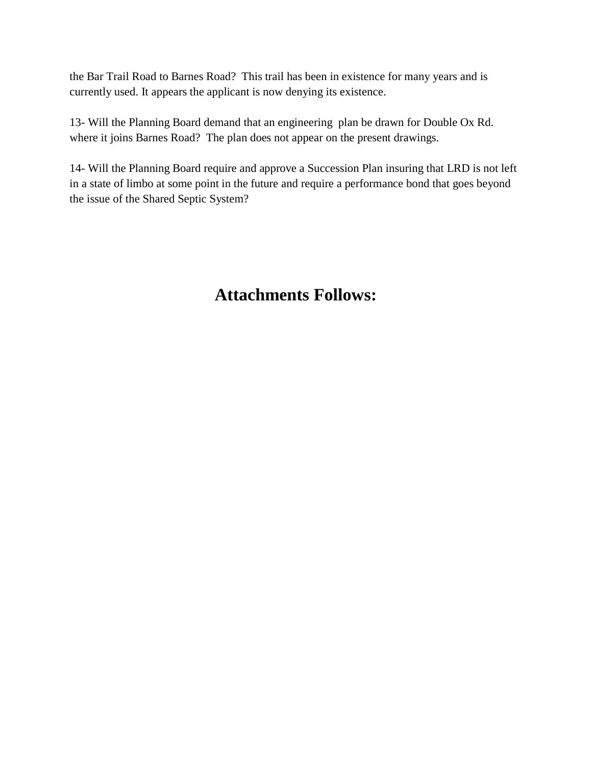the Bar Trail Road to Barnes Road? This trail has been in existence for many years and is currently used. It appears the applicant is now denying its existence.

13- Will the Planning Board demand that an engineering plan be drawn for Double Ox Rd. where it joins Barnes Road? The plan does not appear on the present drawings.

14- Will the Planning Board require and approve a Succession Plan insuring that LRD is not left in a state of limbo at some point in the future and require a performance bond that goes beyond the issue of the Shared Septic System?

## **Attachments Follows:**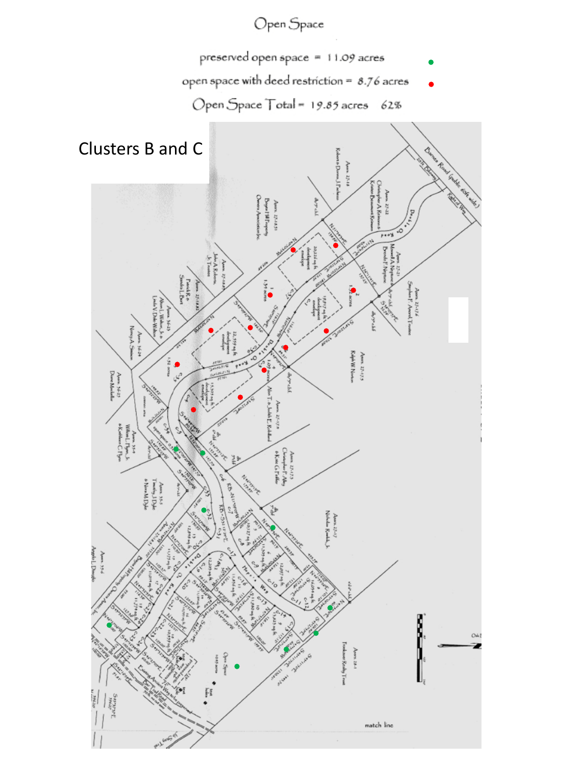